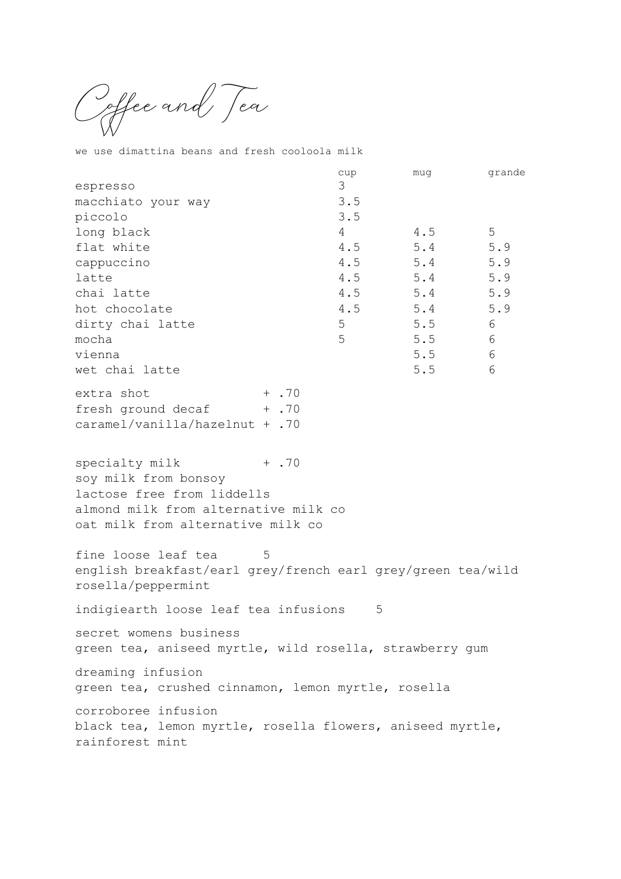Coffee and Tea

we use dimattina beans and fresh cooloola milk

|                                                                           | cup<br>3       | muq         | grande |
|---------------------------------------------------------------------------|----------------|-------------|--------|
| espresso<br>macchiato your way                                            | 3.5            |             |        |
| piccolo                                                                   | 3.5            |             |        |
| long black                                                                | $\overline{4}$ | 4.5         | 5      |
| flat white                                                                | 4.5            | 5.4         | 5.9    |
| cappuccino                                                                |                | $4.5$ $5.4$ | 5.9    |
| latte                                                                     | 4.5            | 5.4         | 5.9    |
| chai latte                                                                |                | $4.5$ $5.4$ | 5.9    |
| hot chocolate                                                             | 4.5            | 5.4         | 5.9    |
| dirty chai latte                                                          | 5              | 5.5         | 6      |
| mocha<br>vienna                                                           | 5              | 5.5<br>5.5  | 6<br>6 |
| wet chai latte                                                            |                | 5.5         | 6      |
|                                                                           |                |             |        |
| extra shot                                                                | $+$ .70        |             |        |
| fresh ground decaf + .70                                                  |                |             |        |
| caramel/vanilla/hazelnut + .70                                            |                |             |        |
|                                                                           |                |             |        |
| specialty milk                                                            | $+ .70$        |             |        |
| soy milk from bonsoy                                                      |                |             |        |
| lactose free from liddells                                                |                |             |        |
| almond milk from alternative milk co<br>oat milk from alternative milk co |                |             |        |
|                                                                           |                |             |        |
| fine loose leaf tea<br>5                                                  |                |             |        |
| english breakfast/earl grey/french earl grey/green tea/wild               |                |             |        |
| rosella/peppermint                                                        |                |             |        |
| indigiearth loose leaf tea infusions                                      |                | 5           |        |
| secret womens business                                                    |                |             |        |
| green tea, aniseed myrtle, wild rosella, strawberry gum                   |                |             |        |
| dreaming infusion                                                         |                |             |        |
| green tea, crushed cinnamon, lemon myrtle, rosella                        |                |             |        |
| corroboree infusion                                                       |                |             |        |
| black tea, lemon myrtle, rosella flowers, aniseed myrtle,                 |                |             |        |
| rainforest mint                                                           |                |             |        |
|                                                                           |                |             |        |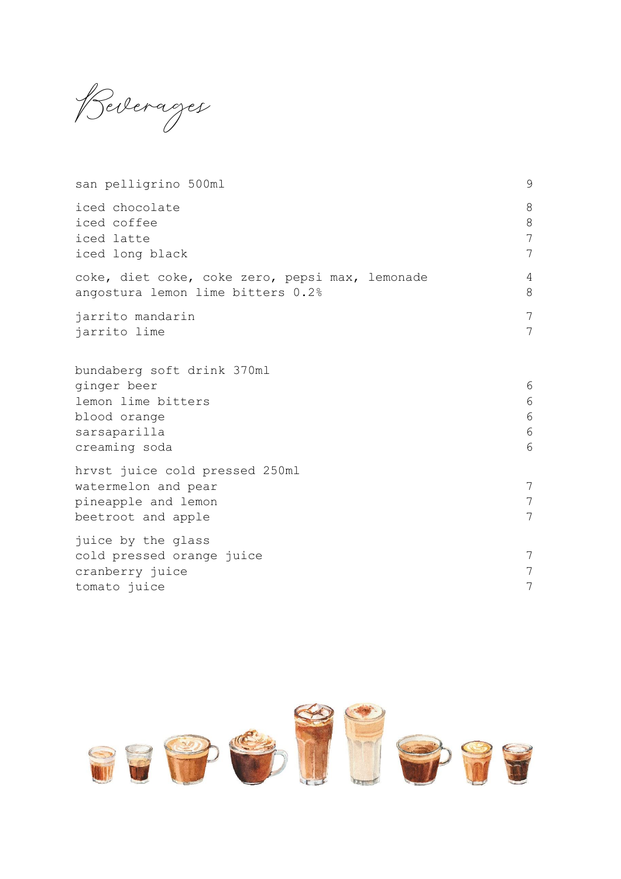Beverages

| san pelligrino 500ml                                                                                             | 9                                |
|------------------------------------------------------------------------------------------------------------------|----------------------------------|
| iced chocolate<br>iced coffee<br>iced latte<br>iced long black                                                   | 8<br>8<br>7<br>7                 |
| coke, diet coke, coke zero, pepsi max, lemonade<br>angostura lemon lime bitters 0.2%                             | $\overline{4}$<br>8              |
| jarrito mandarin<br>jarrito lime                                                                                 | $\overline{7}$<br>$\overline{7}$ |
| bundaberg soft drink 370ml<br>ginger beer<br>lemon lime bitters<br>blood orange<br>sarsaparilla<br>creaming soda | 6<br>6<br>6<br>6<br>6            |
| hrvst juice cold pressed 250ml<br>watermelon and pear<br>pineapple and lemon<br>beetroot and apple               | 7<br>7<br>7                      |
| juice by the glass<br>cold pressed orange juice<br>cranberry juice<br>tomato juice                               | 7<br>7<br>7                      |

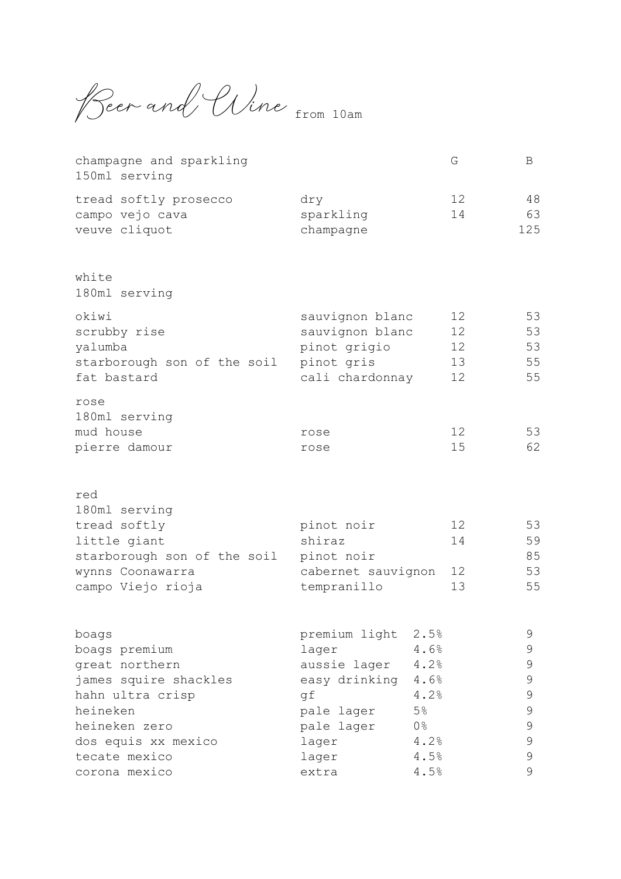Beer and Uine from 10am

| champagne and sparkling<br>150ml serving                  |                                    | G                     | B               |
|-----------------------------------------------------------|------------------------------------|-----------------------|-----------------|
| tread softly prosecco<br>campo vejo cava<br>veuve cliquot | dry<br>sparkling<br>champagne      | 12<br>14              | 48<br>63<br>125 |
| white<br>180ml serving                                    |                                    |                       |                 |
| okiwi<br>scrubby rise                                     | sauvignon blanc<br>sauvignon blanc | 12<br>12 <sup>°</sup> | 53<br>53        |
| yalumba                                                   | pinot grigio                       | 12                    | 53              |
| starborough son of the soil                               | pinot gris                         | 13                    | 55              |
| fat bastard                                               | cali chardonnay                    | 12                    | 55              |
| rose<br>180ml serving                                     |                                    |                       |                 |
| mud house                                                 | rose                               | 12                    | 53              |
| pierre damour                                             | rose                               | 15                    | 62              |
| red<br>180ml serving                                      |                                    |                       |                 |
| tread softly                                              | pinot noir                         | 12                    | 53              |
| little giant                                              | shiraz                             | 14                    | 59              |
| starborough son of the soil                               | pinot noir                         |                       | 85              |
| wynns Coonawarra                                          | cabernet sauvignon                 | 12                    | 53              |
| campo Viejo rioja                                         | tempranillo                        | 13                    | 55              |
| boags                                                     | premium light 2.5%                 |                       | 9               |
| boags premium                                             | lager                              | 4.6%                  | 9               |
| great northern                                            | aussie lager                       | 4.2%                  | $\mathcal{G}$   |
| james squire shackles                                     | easy drinking                      | 4.6%                  | $\mathcal{G}$   |
| hahn ultra crisp                                          | gf                                 | 4.2%                  | 9               |
| heineken                                                  | 5%<br>pale lager                   |                       | $\mathsf 9$     |
| heineken zero                                             | $0\frac{6}{6}$<br>pale lager       |                       | $\mathsf 9$     |
| dos equis xx mexico                                       | lager                              | 4.2%                  | $\mathsf 9$     |
| tecate mexico                                             | lager                              | 4.5%                  | $\mathsf 9$     |
| corona mexico                                             | extra                              | 4.5%                  | $\mathcal{G}$   |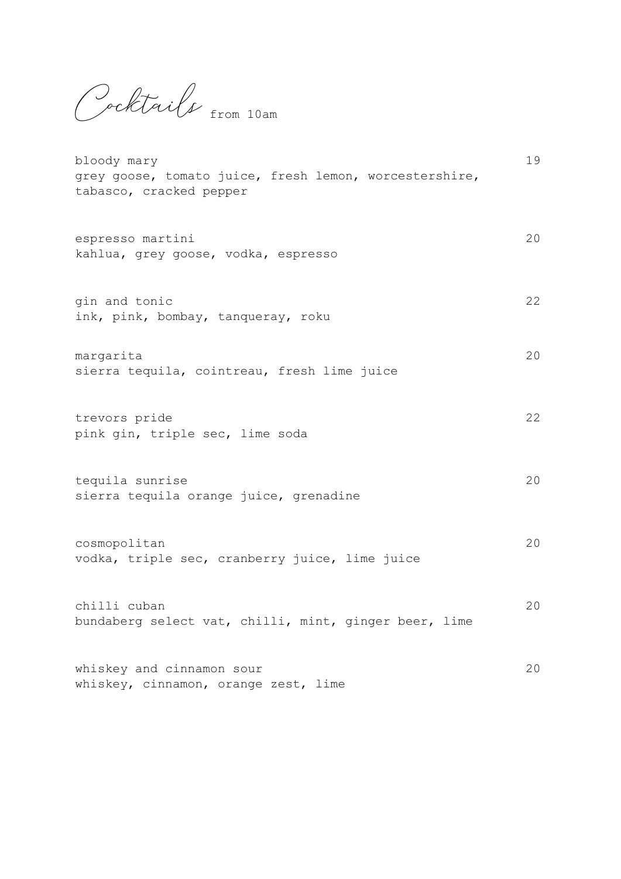Cocktails from 10am

| bloody mary<br>grey goose, tomato juice, fresh lemon, worcestershire,<br>tabasco, cracked pepper | 19 |
|--------------------------------------------------------------------------------------------------|----|
| espresso martini<br>kahlua, grey goose, vodka, espresso                                          | 20 |
| gin and tonic<br>ink, pink, bombay, tanqueray, roku                                              | 22 |
| margarita<br>sierra tequila, cointreau, fresh lime juice                                         | 20 |
| trevors pride<br>pink gin, triple sec, lime soda                                                 | 22 |
| tequila sunrise<br>sierra tequila orange juice, grenadine                                        | 20 |
| cosmopolitan<br>vodka, triple sec, cranberry juice, lime juice                                   | 20 |
| chilli cuban<br>bundaberg select vat, chilli, mint, ginger beer, lime                            | 20 |
| whiskey and cinnamon sour<br>whiskey, cinnamon, orange zest, lime                                | 20 |